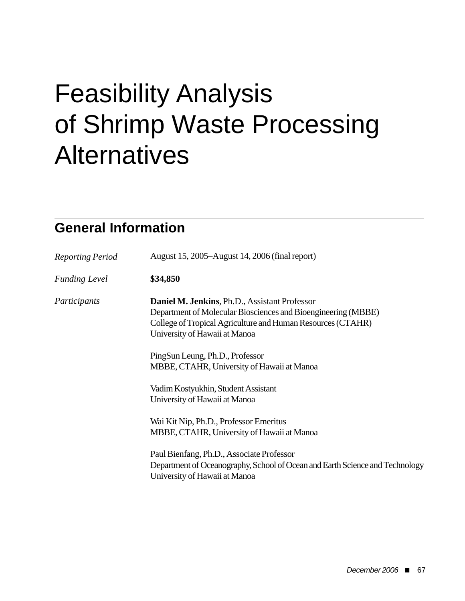# Feasibility Analysis of Shrimp Waste Processing Alternatives

## **General Information**

| <b>Reporting Period</b> | August 15, 2005–August 14, 2006 (final report)                                                                                                                                                                                                                                                  |
|-------------------------|-------------------------------------------------------------------------------------------------------------------------------------------------------------------------------------------------------------------------------------------------------------------------------------------------|
| <b>Funding Level</b>    | \$34,850                                                                                                                                                                                                                                                                                        |
| Participants            | Daniel M. Jenkins, Ph.D., Assistant Professor<br>Department of Molecular Biosciences and Bioengineering (MBBE)<br>College of Tropical Agriculture and Human Resources (CTAHR)<br>University of Hawaii at Manoa<br>PingSun Leung, Ph.D., Professor<br>MBBE, CTAHR, University of Hawaii at Manoa |
|                         | Vadim Kostyukhin, Student Assistant<br>University of Hawaii at Manoa                                                                                                                                                                                                                            |
|                         | Wai Kit Nip, Ph.D., Professor Emeritus<br>MBBE, CTAHR, University of Hawaii at Manoa                                                                                                                                                                                                            |
|                         | Paul Bienfang, Ph.D., Associate Professor<br>Department of Oceanography, School of Ocean and Earth Science and Technology<br>University of Hawaii at Manoa                                                                                                                                      |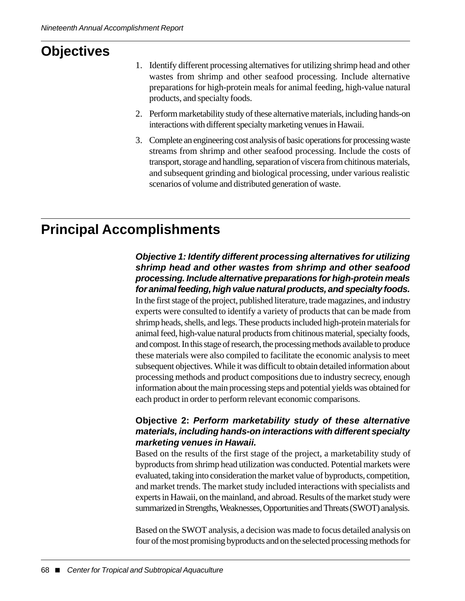# **Objectives**

- 1. Identify different processing alternatives for utilizing shrimp head and other wastes from shrimp and other seafood processing. Include alternative preparations for high-protein meals for animal feeding, high-value natural products, and specialty foods.
- 2. Perform marketability study of these alternative materials, including hands-on interactions with different specialty marketing venues in Hawaii.
- 3. Complete an engineering cost analysis of basic operations for processing waste streams from shrimp and other seafood processing. Include the costs of transport, storage and handling, separation of viscera from chitinous materials, and subsequent grinding and biological processing, under various realistic scenarios of volume and distributed generation of waste.

## **Principal Accomplishments**

#### *Objective 1: Identify different processing alternatives for utilizing shrimp head and other wastes from shrimp and other seafood processing. Include alternative preparations for high-protein meals for animal feeding, high value natural products, and specialty foods.*

In the first stage of the project, published literature, trade magazines, and industry experts were consulted to identify a variety of products that can be made from shrimp heads, shells, and legs. These products included high-protein materials for animal feed, high-value natural products from chitinous material, specialty foods, and compost. In this stage of research, the processing methods available to produce these materials were also compiled to facilitate the economic analysis to meet subsequent objectives. While it was difficult to obtain detailed information about processing methods and product compositions due to industry secrecy, enough information about the main processing steps and potential yields was obtained for each product in order to perform relevant economic comparisons.

#### **Objective 2:** *Perform marketability study of these alternative materials, including hands-on interactions with different specialty marketing venues in Hawaii.*

Based on the results of the first stage of the project, a marketability study of byproducts from shrimp head utilization was conducted. Potential markets were evaluated, taking into consideration the market value of byproducts, competition, and market trends. The market study included interactions with specialists and experts in Hawaii, on the mainland, and abroad. Results of the market study were summarized in Strengths, Weaknesses, Opportunities and Threats (SWOT) analysis.

Based on the SWOT analysis, a decision was made to focus detailed analysis on four of the most promising byproducts and on the selected processing methods for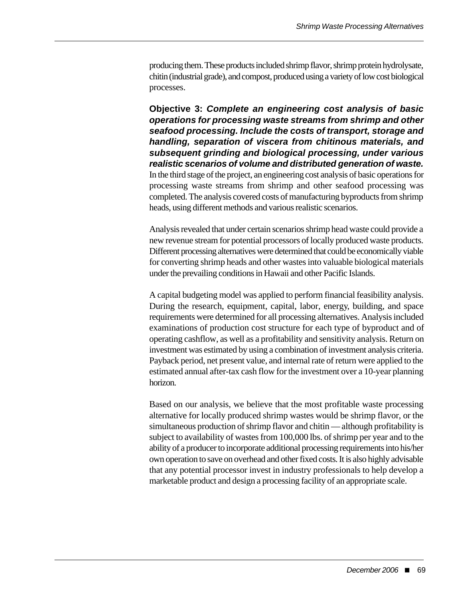producing them. These products included shrimp flavor, shrimp protein hydrolysate, chitin (industrial grade), and compost, produced using a variety of low cost biological processes.

**Objective 3:** *Complete an engineering cost analysis of basic operations for processing waste streams from shrimp and other seafood processing. Include the costs of transport, storage and handling, separation of viscera from chitinous materials, and subsequent grinding and biological processing, under various realistic scenarios of volume and distributed generation of waste.* In the third stage of the project, an engineering cost analysis of basic operations for processing waste streams from shrimp and other seafood processing was completed. The analysis covered costs of manufacturing byproducts from shrimp heads, using different methods and various realistic scenarios.

Analysis revealed that under certain scenarios shrimp head waste could provide a new revenue stream for potential processors of locally produced waste products. Different processing alternatives were determined that could be economically viable for converting shrimp heads and other wastes into valuable biological materials under the prevailing conditions in Hawaii and other Pacific Islands.

A capital budgeting model was applied to perform financial feasibility analysis. During the research, equipment, capital, labor, energy, building, and space requirements were determined for all processing alternatives. Analysis included examinations of production cost structure for each type of byproduct and of operating cashflow, as well as a profitability and sensitivity analysis. Return on investment was estimated by using a combination of investment analysis criteria. Payback period, net present value, and internal rate of return were applied to the estimated annual after-tax cash flow for the investment over a 10-year planning horizon.

Based on our analysis, we believe that the most profitable waste processing alternative for locally produced shrimp wastes would be shrimp flavor, or the simultaneous production of shrimp flavor and chitin — although profitability is subject to availability of wastes from 100,000 lbs. of shrimp per year and to the ability of a producer to incorporate additional processing requirements into his/her own operation to save on overhead and other fixed costs. It is also highly advisable that any potential processor invest in industry professionals to help develop a marketable product and design a processing facility of an appropriate scale.